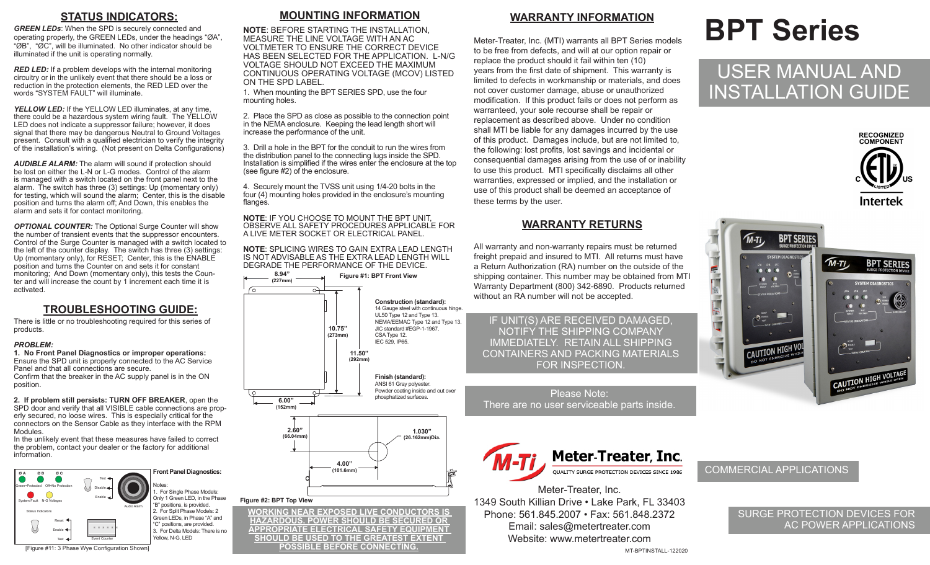### **STATUS INDICATORS:**

*GREEN LEDs*: When the SPD is securely connected and operating properly, the GREEN LEDs, under the headings "ØA", "ØB", "ØC", will be illuminated. No other indicator should be illuminated if the unit is operating normally.

*RED LED:* If a problem develops with the internal monitoring circuitry or in the unlikely event that there should be a loss or reduction in the protection elements, the RED LED over the words "SYSTEM FAULT" will illuminate.

**YELLOW LED:** If the YELLOW LED illuminates, at any time, there could be a hazardous system wiring fault. The YELLOW LED does not indicate a suppressor failure; however, it does signal that there may be dangerous Neutral to Ground Voltages present. Consult with a qualified electrician to verify the integrity of the installation's wiring. (Not present on Delta Configurations)

*AUDIBLE ALARM:* The alarm will sound if protection should be lost on either the L-N or L-G modes. Control of the alarm is managed with a switch located on the front panel next to the alarm. The switch has three (3) settings: Up (momentary only) for testing, which will sound the alarm; Center, this is the disable position and turns the alarm off; And Down, this enables the alarm and sets it for contact monitoring.

*OPTIONAL COUNTER:* The Optional Surge Counter will show the number of transient events that the suppressor encounters. Control of the Surge Counter is managed with a switch located to the left of the counter display. The switch has three (3) settings: Up (momentary only), for RÉSET; Center, this is the ENABLE position and turns the Counter on and sets it for constant monitoring; And Down (momentary only), this tests the Counter and will increase the count by 1 increment each time it is activated.

### **TROUBLESHOOTING GUIDE:**

There is little or no troubleshooting required for this series of products.

### *PROBLEM:*

**1. No Front Panel Diagnostics or improper operations:** Ensure the SPD unit is properly connected to the AC Service Panel and that all connections are secure. Confirm that the breaker in the AC supply panel is in the ON

position.

**2. If problem still persists: TURN OFF BREAKER**, open the SPD door and verify that all VISIBLE cable connections are properly secured, no loose wires. This is especially critical for the connectors on the Sensor Cable as they interface with the RPM Modules.

In the unlikely event that these measures have failed to correct the problem, contact your dealer or the factory for additional information.



### **MOUNTING INFORMATION**

**NOTE**: BEFORE STARTING THE INSTALLATION, MEASURE THE LINE VOLTAGE WITH AN AC VOLTMETER TO ENSURE THE CORRECT DEVICE HAS BEEN SELECTED FOR THE APPLICATION. L-N/G VOLTAGE SHOULD NOT EXCEED THE MAXIMUM CONTINUOUS OPERATING VOLTAGE (MCOV) LISTED ON THE SPD LABEL.

1. When mounting the BPT SERIES SPD, use the four mounting holes.

2. Place the SPD as close as possible to the connection point in the NEMA enclosure. Keeping the lead length short will increase the performance of the unit.

3. Drill a hole in the BPT for the conduit to run the wires from the distribution panel to the connecting lugs inside the SPD. Installation is simplified if the wires enter the enclosure at the top (see figure #2) of the enclosure.

4. Securely mount the TVSS unit using 1/4-20 bolts in the four (4) mounting holes provided in the enclosure's mounting flanges.

**NOTE**: IF YOU CHOOSE TO MOUNT THE BPT UNIT, OBSERVE ALL SAFETY PROCEDURES APPLICABLE FOR A LIVE METER SOCKET OR ELECTRICAL PANEL.

**NOTE**: SPLICING WIRES TO GAIN EXTRA LEAD LENGTH IS NOT ADVISABLE AS THE EXTRA LEAD LENGTH WILL DEGRADE THE PERFORMANCE OF THE DEVICE.



**WORKING NEAR EXPOSED LIVE CONDUCTORS IS HAZARDOUS. POWER SHOULD BE SECURED OR APPROPRIATE ELECTRICAL SAFETY EQUIPMENT SHOULD BE USED TO THE GREATEST EXTENT POSSIBLE BEFORE CONNECTING.**

### **WARRANTY INFORMATION**

Meter-Treater, Inc. (MTI) warrants all BPT Series models to be free from defects, and will at our option repair or replace the product should it fail within ten (10) years from the first date of shipment. This warranty is limited to defects in workmanship or materials, and does not cover customer damage, abuse or unauthorized modification. If this product fails or does not perform as warranteed, your sole recourse shall be repair or replacement as described above. Under no condition shall MTI be liable for any damages incurred by the use of this product. Damages include, but are not limited to, the following: lost profits, lost savings and incidental or consequential damages arising from the use of or inability to use this product. MTI specifically disclaims all other warranties, expressed or implied, and the installation or use of this product shall be deemed an acceptance of these terms by the user.

### **WARRANTY RETURNS**

All warranty and non-warranty repairs must be returned freight prepaid and insured to MTI. All returns must have a Return Authorization (RA) number on the outside of the shipping container. This number may be obtained from MTI Warranty Department (800) 342-6890. Products returned without an RA number will not be accepted.

IF UNIT(S) ARE RECEIVED DAMAGED, NOTIFY THE SHIPPING COMPANY IMMEDIATELY. RETAIN ALL SHIPPING CONTAINERS AND PACKING MATERIALS FOR INSPECTION.

Please Note: There are no user serviceable parts inside.



Meter-Treater, Inc. 1349 South Killian Drive • Lake Park, FL 33403 Phone: 561.845.2007 • Fax: 561.848.2372 Email: sales@metertreater.com Website: www.metertreater.com MT-BPTINSTALL-122020

# **BPT Series**

## USER MANUAL AND INSTALLATION GUIDE





### COMMERCIAL APPLICATIONS

### SURGE PROTECTION DEVICES FOR AC POWER APPLICATIONS